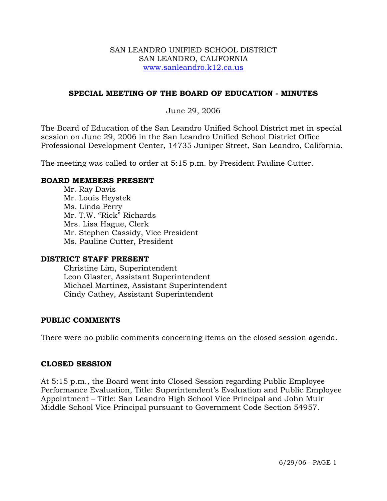### SAN LEANDRO UNIFIED SCHOOL DISTRICT SAN LEANDRO, CALIFORNIA www.sanleandro.k12.ca.us

### **SPECIAL MEETING OF THE BOARD OF EDUCATION - MINUTES**

### June 29, 2006

The Board of Education of the San Leandro Unified School District met in special session on June 29, 2006 in the San Leandro Unified School District Office Professional Development Center, 14735 Juniper Street, San Leandro, California.

The meeting was called to order at 5:15 p.m. by President Pauline Cutter.

### **BOARD MEMBERS PRESENT**

Mr. Ray Davis Mr. Louis Heystek Ms. Linda Perry Mr. T.W. "Rick" Richards Mrs. Lisa Hague, Clerk Mr. Stephen Cassidy, Vice President Ms. Pauline Cutter, President

### **DISTRICT STAFF PRESENT**

Christine Lim, Superintendent Leon Glaster, Assistant Superintendent Michael Martinez, Assistant Superintendent Cindy Cathey, Assistant Superintendent

### **PUBLIC COMMENTS**

There were no public comments concerning items on the closed session agenda.

### **CLOSED SESSION**

At 5:15 p.m., the Board went into Closed Session regarding Public Employee Performance Evaluation, Title: Superintendent's Evaluation and Public Employee Appointment – Title: San Leandro High School Vice Principal and John Muir Middle School Vice Principal pursuant to Government Code Section 54957.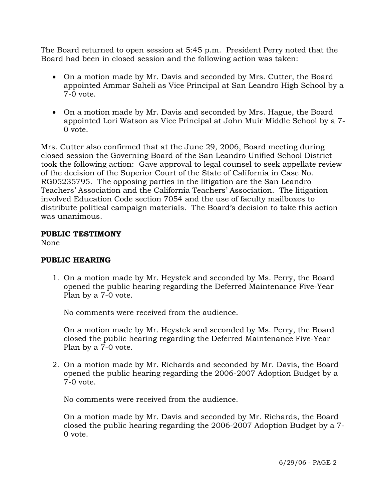The Board returned to open session at 5:45 p.m. President Perry noted that the Board had been in closed session and the following action was taken:

- On a motion made by Mr. Davis and seconded by Mrs. Cutter, the Board appointed Ammar Saheli as Vice Principal at San Leandro High School by a 7-0 vote.
- On a motion made by Mr. Davis and seconded by Mrs. Hague, the Board appointed Lori Watson as Vice Principal at John Muir Middle School by a 7- 0 vote.

Mrs. Cutter also confirmed that at the June 29, 2006, Board meeting during closed session the Governing Board of the San Leandro Unified School District took the following action: Gave approval to legal counsel to seek appellate review of the decision of the Superior Court of the State of California in Case No. RG05235795. The opposing parties in the litigation are the San Leandro Teachers' Association and the California Teachers' Association. The litigation involved Education Code section 7054 and the use of faculty mailboxes to distribute political campaign materials. The Board's decision to take this action was unanimous.

## **PUBLIC TESTIMONY**

None

# **PUBLIC HEARING**

1. On a motion made by Mr. Heystek and seconded by Ms. Perry, the Board opened the public hearing regarding the Deferred Maintenance Five-Year Plan by a 7-0 vote.

No comments were received from the audience.

On a motion made by Mr. Heystek and seconded by Ms. Perry, the Board closed the public hearing regarding the Deferred Maintenance Five-Year Plan by a 7-0 vote.

2. On a motion made by Mr. Richards and seconded by Mr. Davis, the Board opened the public hearing regarding the 2006-2007 Adoption Budget by a 7-0 vote.

No comments were received from the audience.

On a motion made by Mr. Davis and seconded by Mr. Richards, the Board closed the public hearing regarding the 2006-2007 Adoption Budget by a 7- 0 vote.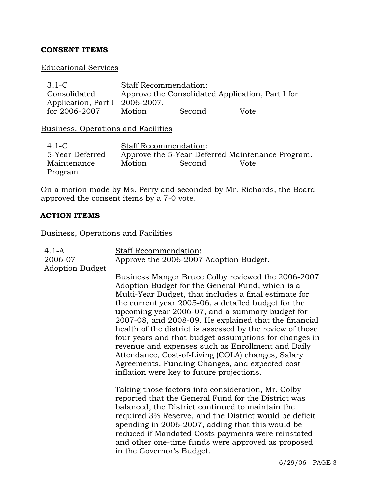# **CONSENT ITEMS**

## Educational Services

| $3.1-C$                                    | <b>Staff Recommendation:</b>                     |  |  |  |
|--------------------------------------------|--------------------------------------------------|--|--|--|
| Consolidated                               | Approve the Consolidated Application, Part I for |  |  |  |
| Application, Part I 2006-2007.             |                                                  |  |  |  |
| for 2006-2007                              | Motion Second Vote                               |  |  |  |
| <b>Business, Operations and Facilities</b> |                                                  |  |  |  |
| $4.1-C$                                    | <b>Staff Recommendation:</b>                     |  |  |  |
| 5-Year Deferred                            | Approve the 5-Year Deferred Maintenance Program. |  |  |  |
| Maintenance                                | Motion Second Vote                               |  |  |  |
| Program                                    |                                                  |  |  |  |

On a motion made by Ms. Perry and seconded by Mr. Richards, the Board approved the consent items by a 7-0 vote.

#### **ACTION ITEMS**

Business, Operations and Facilities

| $4.1-A$<br>2006-07<br><b>Adoption Budget</b> | <b>Staff Recommendation:</b><br>Approve the 2006-2007 Adoption Budget.                                                                                                                                                                                                                                                                                                                                                                                                                                                                                                                                                                                            |  |  |
|----------------------------------------------|-------------------------------------------------------------------------------------------------------------------------------------------------------------------------------------------------------------------------------------------------------------------------------------------------------------------------------------------------------------------------------------------------------------------------------------------------------------------------------------------------------------------------------------------------------------------------------------------------------------------------------------------------------------------|--|--|
|                                              | Business Manger Bruce Colby reviewed the 2006-2007<br>Adoption Budget for the General Fund, which is a<br>Multi-Year Budget, that includes a final estimate for<br>the current year 2005-06, a detailed budget for the<br>upcoming year 2006-07, and a summary budget for<br>2007-08, and 2008-09. He explained that the financial<br>health of the district is assessed by the review of those<br>four years and that budget assumptions for changes in<br>revenue and expenses such as Enrollment and Daily<br>Attendance, Cost-of-Living (COLA) changes, Salary<br>Agreements, Funding Changes, and expected cost<br>inflation were key to future projections. |  |  |
|                                              | Taking those factors into consideration, Mr. Colby<br>reported that the General Fund for the District was<br>balanced, the District continued to maintain the<br>required 3% Reserve, and the District would be deficit<br>spending in 2006-2007, adding that this would be<br>reduced if Mandated Costs payments were reinstated<br>and other one-time funds were approved as proposed<br>in the Governor's Budget.<br>$c10010c$ D <sub>16</sub>                                                                                                                                                                                                                 |  |  |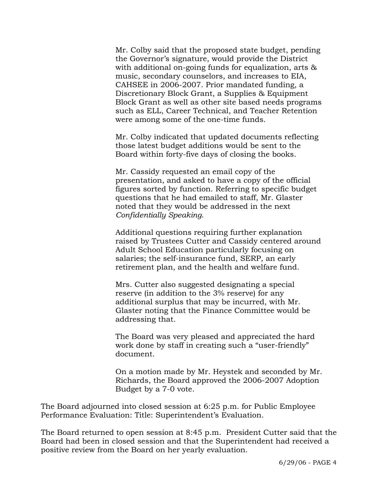Mr. Colby said that the proposed state budget, pending the Governor's signature, would provide the District with additional on-going funds for equalization, arts & music, secondary counselors, and increases to EIA, CAHSEE in 2006-2007. Prior mandated funding, a Discretionary Block Grant, a Supplies & Equipment Block Grant as well as other site based needs programs such as ELL, Career Technical, and Teacher Retention were among some of the one-time funds.

Mr. Colby indicated that updated documents reflecting those latest budget additions would be sent to the Board within forty-five days of closing the books.

Mr. Cassidy requested an email copy of the presentation, and asked to have a copy of the official figures sorted by function. Referring to specific budget questions that he had emailed to staff, Mr. Glaster noted that they would be addressed in the next *Confidentially Speaking*.

Additional questions requiring further explanation raised by Trustees Cutter and Cassidy centered around Adult School Education particularly focusing on salaries; the self-insurance fund, SERP, an early retirement plan, and the health and welfare fund.

Mrs. Cutter also suggested designating a special reserve (in addition to the 3% reserve) for any additional surplus that may be incurred, with Mr. Glaster noting that the Finance Committee would be addressing that.

The Board was very pleased and appreciated the hard work done by staff in creating such a "user-friendly" document.

On a motion made by Mr. Heystek and seconded by Mr. Richards, the Board approved the 2006-2007 Adoption Budget by a 7-0 vote.

The Board adjourned into closed session at 6:25 p.m. for Public Employee Performance Evaluation: Title: Superintendent's Evaluation.

The Board returned to open session at 8:45 p.m. President Cutter said that the Board had been in closed session and that the Superintendent had received a positive review from the Board on her yearly evaluation.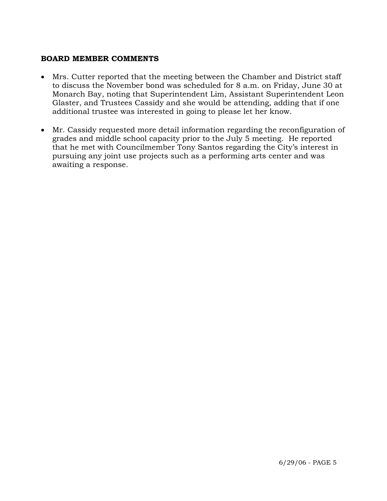## **BOARD MEMBER COMMENTS**

- Mrs. Cutter reported that the meeting between the Chamber and District staff to discuss the November bond was scheduled for 8 a.m. on Friday, June 30 at Monarch Bay, noting that Superintendent Lim, Assistant Superintendent Leon Glaster, and Trustees Cassidy and she would be attending, adding that if one additional trustee was interested in going to please let her know.
- Mr. Cassidy requested more detail information regarding the reconfiguration of grades and middle school capacity prior to the July 5 meeting. He reported that he met with Councilmember Tony Santos regarding the City's interest in pursuing any joint use projects such as a performing arts center and was awaiting a response.